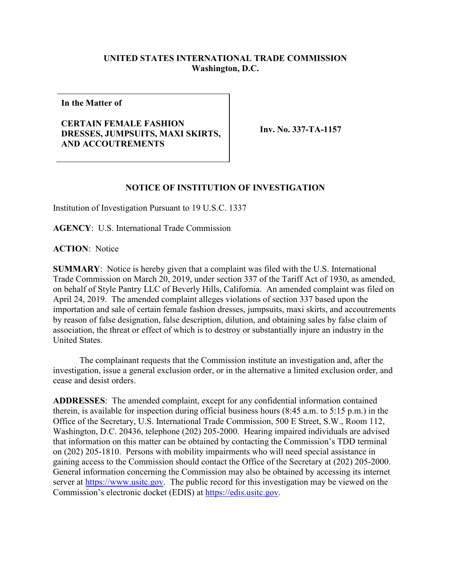## **UNITED STATES INTERNATIONAL TRADE COMMISSION Washington, D.C.**

**In the Matter of**

## **CERTAIN FEMALE FASHION DRESSES, JUMPSUITS, MAXI SKIRTS, AND ACCOUTREMENTS**

**Inv. No. 337-TA-1157**

## **NOTICE OF INSTITUTION OF INVESTIGATION**

Institution of Investigation Pursuant to 19 U.S.C. 1337

**AGENCY**: U.S. International Trade Commission

**ACTION**: Notice

**SUMMARY**: Notice is hereby given that a complaint was filed with the U.S. International Trade Commission on March 20, 2019, under section 337 of the Tariff Act of 1930, as amended, on behalf of Style Pantry LLC of Beverly Hills, California. An amended complaint was filed on April 24, 2019. The amended complaint alleges violations of section 337 based upon the importation and sale of certain female fashion dresses, jumpsuits, maxi skirts, and accoutrements by reason of false designation, false description, dilution, and obtaining sales by false claim of association, the threat or effect of which is to destroy or substantially injure an industry in the United States.

The complainant requests that the Commission institute an investigation and, after the investigation, issue a general exclusion order, or in the alternative a limited exclusion order, and cease and desist orders.

**ADDRESSES**: The amended complaint, except for any confidential information contained therein, is available for inspection during official business hours (8:45 a.m. to 5:15 p.m.) in the Office of the Secretary, U.S. International Trade Commission, 500 E Street, S.W., Room 112, Washington, D.C. 20436, telephone (202) 205-2000. Hearing impaired individuals are advised that information on this matter can be obtained by contacting the Commission's TDD terminal on (202) 205-1810. Persons with mobility impairments who will need special assistance in gaining access to the Commission should contact the Office of the Secretary at (202) 205-2000. General information concerning the Commission may also be obtained by accessing its internet server at [https://www.usitc.gov.](https://www.usitc.gov/) The public record for this investigation may be viewed on the Commission's electronic docket (EDIS) at [https://edis.usitc.gov.](https://edis.usitc.gov/)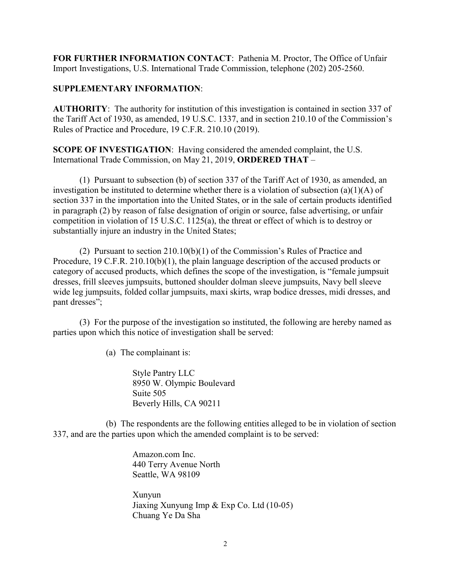**FOR FURTHER INFORMATION CONTACT**: Pathenia M. Proctor, The Office of Unfair Import Investigations, U.S. International Trade Commission, telephone (202) 205-2560.

## **SUPPLEMENTARY INFORMATION**:

**AUTHORITY**: The authority for institution of this investigation is contained in section 337 of the Tariff Act of 1930, as amended, 19 U.S.C. 1337, and in section 210.10 of the Commission's Rules of Practice and Procedure, 19 C.F.R. 210.10 (2019).

**SCOPE OF INVESTIGATION**: Having considered the amended complaint, the U.S. International Trade Commission, on May 21, 2019, **ORDERED THAT** –

(1) Pursuant to subsection (b) of section 337 of the Tariff Act of 1930, as amended, an investigation be instituted to determine whether there is a violation of subsection (a)(1)(A) of section 337 in the importation into the United States, or in the sale of certain products identified in paragraph (2) by reason of false designation of origin or source, false advertising, or unfair competition in violation of 15 U.S.C. 1125(a), the threat or effect of which is to destroy or substantially injure an industry in the United States;

(2) Pursuant to section 210.10(b)(1) of the Commission's Rules of Practice and Procedure, 19 C.F.R. 210.10(b)(1), the plain language description of the accused products or category of accused products, which defines the scope of the investigation, is "female jumpsuit dresses, frill sleeves jumpsuits, buttoned shoulder dolman sleeve jumpsuits, Navy bell sleeve wide leg jumpsuits, folded collar jumpsuits, maxi skirts, wrap bodice dresses, midi dresses, and pant dresses";

(3) For the purpose of the investigation so instituted, the following are hereby named as parties upon which this notice of investigation shall be served:

(a) The complainant is:

Style Pantry LLC 8950 W. Olympic Boulevard Suite 505 Beverly Hills, CA 90211

(b) The respondents are the following entities alleged to be in violation of section 337, and are the parties upon which the amended complaint is to be served:

> Amazon.com Inc. 440 Terry Avenue North Seattle, WA 98109

Xunyun Jiaxing Xunyung Imp & Exp Co. Ltd (10-05) Chuang Ye Da Sha